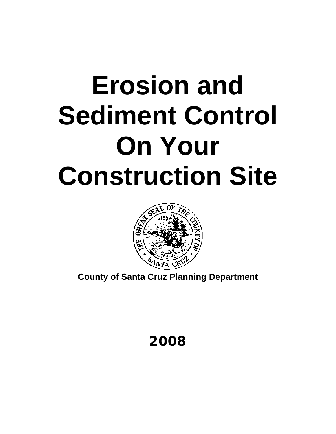# **Erosion and Sediment Control On Your Construction Site**



**County of Santa Cruz Planning Department** 

**2008**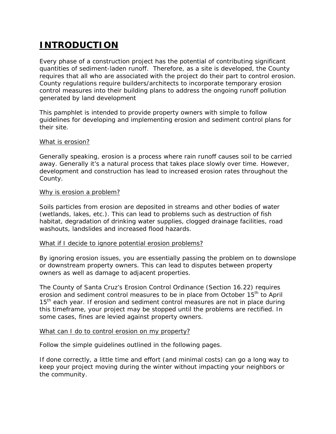## **INTRODUCTION**

Every phase of a construction project has the potential of contributing significant quantities of sediment-laden runoff. Therefore, as a site is developed, the County requires that all who are associated with the project do their part to control erosion. County regulations require builders/architects to incorporate temporary erosion control measures into their building plans to address the ongoing runoff pollution generated by land development

This pamphlet is intended to provide property owners with simple to follow guidelines for developing and implementing erosion and sediment control plans for their site.

#### What is erosion?

Generally speaking, erosion is a process where rain runoff causes soil to be carried away. Generally it's a natural process that takes place slowly over time. However, development and construction has lead to increased erosion rates throughout the County.

#### Why is erosion a problem?

Soils particles from erosion are deposited in streams and other bodies of water (wetlands, lakes, etc.). This can lead to problems such as destruction of fish habitat, degradation of drinking water supplies, clogged drainage facilities, road washouts, landslides and increased flood hazards.

#### What if I decide to ignore potential erosion problems?

By ignoring erosion issues, you are essentially passing the problem on to downslope or downstream property owners. This can lead to disputes between property owners as well as damage to adjacent properties.

The County of Santa Cruz's *Erosion Control Ordinance* (Section 16.22) requires erosion and sediment control measures to be in place from October 15<sup>th</sup> to April  $15<sup>th</sup>$  each year. If erosion and sediment control measures are not in place during this timeframe, your project may be stopped until the problems are rectified. In some cases, fines are levied against property owners.

#### What can I do to control erosion on my property?

Follow the simple guidelines outlined in the following pages.

If done correctly, a little time and effort (and minimal costs) can go a long way to keep your project moving during the winter without impacting your neighbors or the community.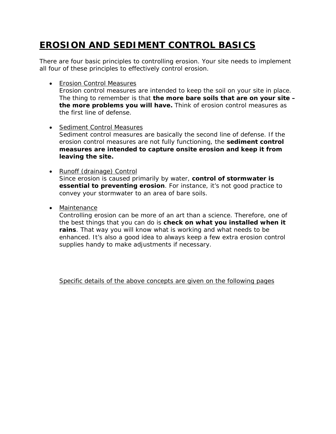# **EROSION AND SEDIMENT CONTROL BASICS**

There are four basic principles to controlling erosion. Your site needs to implement all four of these principles to effectively control erosion.

• Erosion Control Measures

Erosion control measures are intended to keep the soil on your site in place. The thing to remember is that **the more bare soils that are on your site – the more problems you will have.** Think of erosion control measures as the first line of defense.

- Sediment Control Measures Sediment control measures are basically the second line of defense. If the erosion control measures are not fully functioning, the **sediment control measures are intended to capture onsite erosion and keep it from leaving the site.**
- Runoff (drainage) Control Since erosion is caused primarily by water, **control of stormwater is essential to preventing erosion**. For instance, it's not good practice to convey your stormwater to an area of bare soils.
- Maintenance

Controlling erosion can be more of an art than a science. Therefore, one of the best things that you can do is **check on what you installed when it rains**. That way you will know what is working and what needs to be enhanced. It's also a good idea to always keep a few extra erosion control supplies handy to make adjustments if necessary.

Specific details of the above concepts are given on the following pages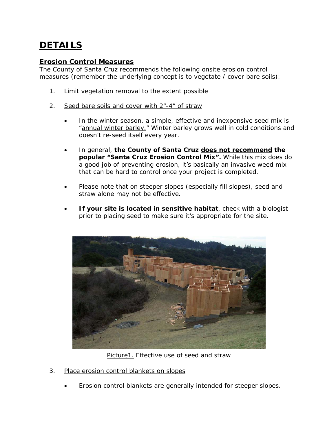# **DETAILS**

## **Erosion Control Measures**

The County of Santa Cruz recommends the following onsite erosion control measures (remember the underlying concept is to vegetate / cover bare soils):

- 1. Limit vegetation removal to the extent possible
- 2. Seed bare soils and cover with 2"-4" of straw
	- In the winter season, a simple, effective and inexpensive seed mix is "annual winter barley." Winter barley grows well in cold conditions and doesn't re-seed itself every year.
	- In general, **the County of Santa Cruz does not recommend the popular "Santa Cruz Erosion Control Mix".** While this mix does do a good job of preventing erosion, it's basically an invasive weed mix that can be hard to control once your project is completed.
	- Please note that on steeper slopes (especially fill slopes), seed and straw alone may not be effective.
	- **If your site is located in sensitive habitat**, check with a biologist prior to placing seed to make sure it's appropriate for the site.



Picture1. Effective use of seed and straw

- 3. Place erosion control blankets on slopes
	- Erosion control blankets are generally intended for steeper slopes.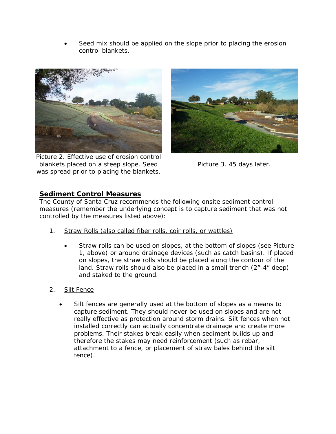Seed mix should be applied on the slope prior to placing the erosion control blankets.



Picture 2. Effective use of erosion control blankets placed on a steep slope. Seed was spread prior to placing the blankets.



Picture 3.45 days later.

## **Sediment Control Measures**

The County of Santa Cruz recommends the following onsite sediment control measures (remember the underlying concept is to capture sediment that was not controlled by the measures listed above):

- 1. Straw Rolls (also called fiber rolls, coir rolls, or wattles)
	- Straw rolls can be used on slopes, at the bottom of slopes (see Picture 1, above) or around drainage devices (such as catch basins). If placed on slopes, the straw rolls should be placed along the contour of the land. Straw rolls should also be placed in a small trench (2"-4" deep) and staked to the ground.
- 2. Silt Fence
	- Silt fences are generally used at the bottom of slopes as a means to capture sediment. They should never be used on slopes and are not really effective as protection around storm drains. Silt fences when not installed correctly can actually concentrate drainage and create more problems. Their stakes break easily when sediment builds up and therefore the stakes may need reinforcement (such as rebar, attachment to a fence, or placement of straw bales behind the silt fence).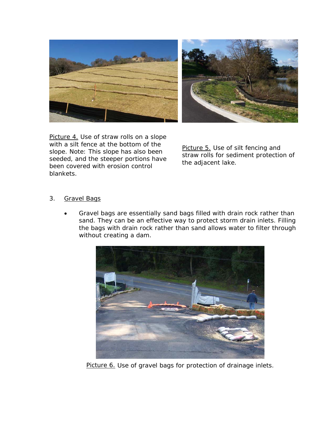

Picture 4. Use of straw rolls on a slope with a silt fence at the bottom of the slope. Note: This slope has also been seeded, and the steeper portions have been covered with erosion control blankets.

Picture 5. Use of silt fencing and straw rolls for sediment protection of the adjacent lake.

## 3. Gravel Bags

 Gravel bags are essentially sand bags filled with drain rock rather than sand. They can be an effective way to protect storm drain inlets. Filling the bags with drain rock rather than sand allows water to filter through without creating a dam.



Picture 6. Use of gravel bags for protection of drainage inlets.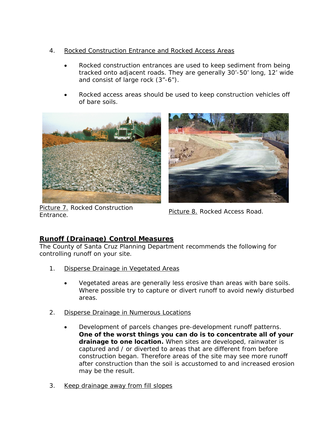- 4. Rocked Construction Entrance and Rocked Access Areas
	- Rocked construction entrances are used to keep sediment from being tracked onto adjacent roads. They are generally 30'-50' long, 12' wide and consist of large rock (3"-6").
	- Rocked access areas should be used to keep construction vehicles off of bare soils.





Picture 7. Rocked Construction **Entrance.** Notice Construction **Picture 8.** Rocked Access Road.

## **Runoff (Drainage) Control Measures**

The County of Santa Cruz Planning Department recommends the following for controlling runoff on your site.

- 1. Disperse Drainage in Vegetated Areas
	- Vegetated areas are generally less erosive than areas with bare soils. Where possible try to capture or divert runoff to avoid newly disturbed areas.
- 2. Disperse Drainage in Numerous Locations
	- Development of parcels changes pre-development runoff patterns. **One of the worst things you can do is to concentrate all of your drainage to one location.** When sites are developed, rainwater is captured and / or diverted to areas that are different from before construction began. Therefore areas of the site may see more runoff after construction than the soil is accustomed to and increased erosion may be the result.
- 3. Keep drainage away from fill slopes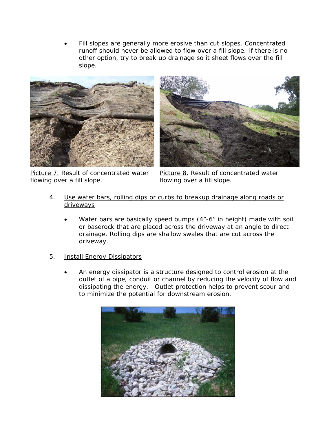Fill slopes are generally more erosive than cut slopes. Concentrated runoff should never be allowed to flow over a fill slope. If there is no other option, try to break up drainage so it sheet flows over the fill slope.



Picture 7. Result of concentrated water flowing over a fill slope.



Picture 8. Result of concentrated water flowing over a fill slope.

- 4. Use water bars, rolling dips or curbs to breakup drainage along roads or driveways
	- Water bars are basically speed bumps (4"-6" in height) made with soil or baserock that are placed across the driveway at an angle to direct drainage. Rolling dips are shallow swales that are cut across the driveway.
- 5. Install Energy Dissipators
	- An energy dissipator is a structure designed to control erosion at the outlet of a pipe, conduit or channel by reducing the velocity of flow and dissipating the energy. Outlet protection helps to prevent scour and to minimize the potential for downstream erosion.

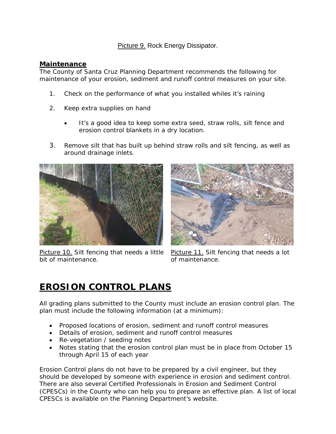Picture 9. Rock Energy Dissipator.

### **Maintenance**

The County of Santa Cruz Planning Department recommends the following for maintenance of your erosion, sediment and runoff control measures on your site.

- 1. Check on the performance of what you installed whiles it's raining
- 2. Keep extra supplies on hand
	- It's a good idea to keep some extra seed, straw rolls, silt fence and erosion control blankets in a dry location.
- 3. Remove silt that has built up behind straw rolls and silt fencing, as well as around drainage inlets.



Picture 10. Silt fencing that needs a little bit of maintenance.



Picture 11. Silt fencing that needs a lot of maintenance.

## **EROSION CONTROL PLANS**

All grading plans submitted to the County must include an erosion control plan. The plan must include the following information (at a minimum):

- Proposed locations of erosion, sediment and runoff control measures
- Details of erosion, sediment and runoff control measures
- Re-vegetation / seeding notes
- Notes stating that the erosion control plan must be in place from October 15 through April 15 of each year

Erosion Control plans do not have to be prepared by a civil engineer, but they should be developed by someone with experience in erosion and sediment control. There are also several Certified Professionals in Erosion and Sediment Control (CPESCs) in the County who can help you to prepare an effective plan. A list of local CPESCs is available on the Planning Department's website.